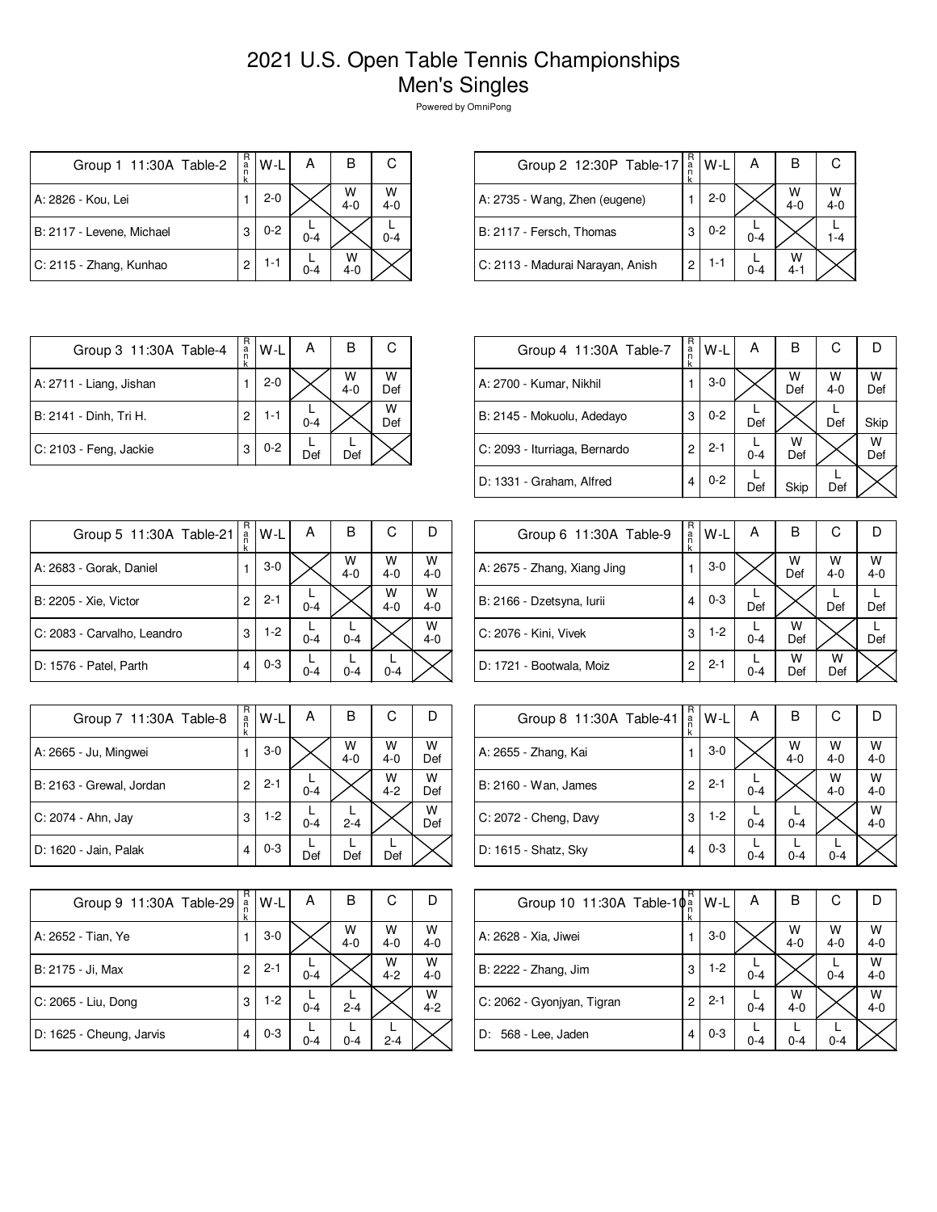| Group 1 11:30A Table-2    | R<br>a<br>n<br>k | W-L     | А       | в            | С            |
|---------------------------|------------------|---------|---------|--------------|--------------|
| A: 2826 - Kou, Lei        |                  | $2 - 0$ |         | $W$<br>4-0   | W<br>$4 - 0$ |
| B: 2117 - Levene, Michael | 3                | $0 - 2$ | $0 - 4$ |              | $0 - 4$      |
| C: 2115 - Zhang, Kunhao   | 2                | $1 - 1$ | $0 - 4$ | w<br>$4 - 0$ |              |

| Group 2 12:30P Table-17          | R<br>a<br>n | W-L     | А       |              |              |
|----------------------------------|-------------|---------|---------|--------------|--------------|
| A: 2735 - Wang, Zhen (eugene)    |             | $2 - 0$ |         | W<br>$4 - 0$ | W<br>$4 - 0$ |
| B: 2117 - Fersch, Thomas         | 3           | $0 - 2$ | $0 - 4$ |              |              |
| C: 2113 - Madurai Narayan, Anish | 2           | 1-1     | $0 - 4$ | W<br>$4 - 1$ |              |

| Group 3 11:30A Table-4  | R<br>a<br>ñ    | W-L     | А       | В            | С        |
|-------------------------|----------------|---------|---------|--------------|----------|
| A: 2711 - Liang, Jishan |                | $2 - 0$ |         | W<br>$4 - 0$ | w<br>Def |
| B: 2141 - Dinh, Tri H.  | $\overline{c}$ | 1-1     | $0 - 4$ |              | W<br>Def |
| C: 2103 - Feng, Jackie  | 3              | $0 - 2$ | Def     | Def          |          |

| Group 4 11:30A Table-7        | R<br>$\frac{a}{n}$<br>k | W-L     | А       | в        | С            |          |
|-------------------------------|-------------------------|---------|---------|----------|--------------|----------|
| A: 2700 - Kumar, Nikhil       |                         | $3-0$   |         | w<br>Def | W<br>$4 - 0$ | W<br>Def |
| B: 2145 - Mokuolu, Adedayo    | 3                       | $0 - 2$ | Def     |          | Def          | Skip     |
| C: 2093 - Iturriaga, Bernardo | 2                       | $2 - 1$ | $0 - 4$ | w<br>Def |              | W<br>Def |
| D: 1331 - Graham, Alfred      | 4                       | $0 - 2$ | Def     | Skip     | Def          |          |

| Group 5 11:30A Table-21     | R<br>$\frac{a}{n}$<br>k | W-L     | А       | в            | С            |              |
|-----------------------------|-------------------------|---------|---------|--------------|--------------|--------------|
| A: 2683 - Gorak, Daniel     |                         | $3-0$   |         | W<br>$4 - 0$ | W<br>$4 - 0$ | W<br>$4 - 0$ |
| B: 2205 - Xie, Victor       | $\overline{c}$          | $2 - 1$ | $0 - 4$ |              | W<br>$4 - 0$ | W<br>$4 - 0$ |
| C: 2083 - Carvalho, Leandro | 3                       | $1-2$   | $0 - 4$ | $0 - 4$      |              | W<br>$4 - 0$ |
| D: 1576 - Patel, Parth      | 4                       | $0 - 3$ | $0 - 4$ | $0 - 4$      | $0 - 4$      |              |

| Group 7 11:30A Table-8   | R<br>a<br>k | W-L     | А       | в            | С            | I)       |
|--------------------------|-------------|---------|---------|--------------|--------------|----------|
| A: 2665 - Ju, Mingwei    |             | $3-0$   |         | W<br>$4 - 0$ | W<br>$4 - 0$ | W<br>Def |
| B: 2163 - Grewal, Jordan | 2           | $2 - 1$ | $0 - 4$ |              | W<br>$4 - 2$ | W<br>Def |
| C: 2074 - Ahn, Jay       | 3           | $1 - 2$ | $0 - 4$ | $2 - 4$      |              | W<br>Def |
| D: 1620 - Jain, Palak    | 4           | $0 - 3$ | Def     | Def          | Def          |          |

| Group 9 11:30A Table-29  | R<br>$\frac{a}{n}$<br>k | W-L     | А       | в            | С            |              |
|--------------------------|-------------------------|---------|---------|--------------|--------------|--------------|
| A: 2652 - Tian, Ye       |                         | $3-0$   |         | W<br>$4 - 0$ | w<br>$4 - 0$ | W<br>$4 - 0$ |
| B: 2175 - Ji, Max        | 2                       | $2 - 1$ | $0 - 4$ |              | W<br>$4 - 2$ | W<br>$4 - 0$ |
| C: 2065 - Liu, Dong      | 3                       | $1-2$   | $0 - 4$ | $2 - 4$      |              | W<br>$4 - 2$ |
| D: 1625 - Cheung, Jarvis | 4                       | $0 - 3$ | $0 - 4$ | $0 - 4$      | $2 - 4$      |              |

| Group 6 11:30A Table-9      | R<br>$\frac{a}{n}$<br>k | W-L     | А       | B        | С            | IJ           |
|-----------------------------|-------------------------|---------|---------|----------|--------------|--------------|
| A: 2675 - Zhang, Xiang Jing |                         | $3-0$   |         | W<br>Def | W<br>$4 - 0$ | W<br>$4 - 0$ |
| B: 2166 - Dzetsyna, Iurii   | 4                       | $0 - 3$ | Def     |          | Def          | Def          |
| C: 2076 - Kini, Vivek       | 3                       | $1-2$   | $0 - 4$ | W<br>Def |              | Def          |
| D: 1721 - Bootwala, Moiz    | 2                       | $2 - 1$ | $0 - 4$ | w<br>Def | w<br>Def     |              |

| Group 8 11:30A Table-41 | R<br>$\frac{a}{n}$<br>k | $W-L$   | А       | в            | С            |              |
|-------------------------|-------------------------|---------|---------|--------------|--------------|--------------|
| A: 2655 - Zhang, Kai    |                         | $3-0$   |         | W<br>$4 - 0$ | w<br>$4 - 0$ | W<br>$4 - 0$ |
| B: 2160 - Wan, James    | 2                       | $2 - 1$ | $0 - 4$ |              | W<br>$4 - 0$ | W<br>$4 - 0$ |
| C: 2072 - Cheng, Davy   | 3                       | $1-2$   | $0 - 4$ | $0 - 4$      |              | W<br>$4 - 0$ |
| D: 1615 - Shatz, Sky    | 4                       | $0 - 3$ | $0 - 4$ | $0 - 4$      | $0 - 4$      |              |

| Group 10 11:30A Table-10 <sup>a</sup> | R<br>ĸ | W-L     | Α       | В            | С            |              |
|---------------------------------------|--------|---------|---------|--------------|--------------|--------------|
| A: 2628 - Xia, Jiwei                  |        | $3-0$   |         | W<br>$4 - 0$ | W<br>$4 - 0$ | W<br>$4 - 0$ |
| B: 2222 - Zhang, Jim                  | 3      | $1-2$   | $0 - 4$ |              | $0 - 4$      | W<br>$4 - 0$ |
| C: 2062 - Gyonjyan, Tigran            | 2      | $2 - 1$ | $0 - 4$ | w<br>$4 - 0$ |              | W<br>$4 - 0$ |
| D: 568 - Lee, Jaden                   | 4      | $0 - 3$ | $0 - 4$ | $0 - 4$      | $0 - 4$      |              |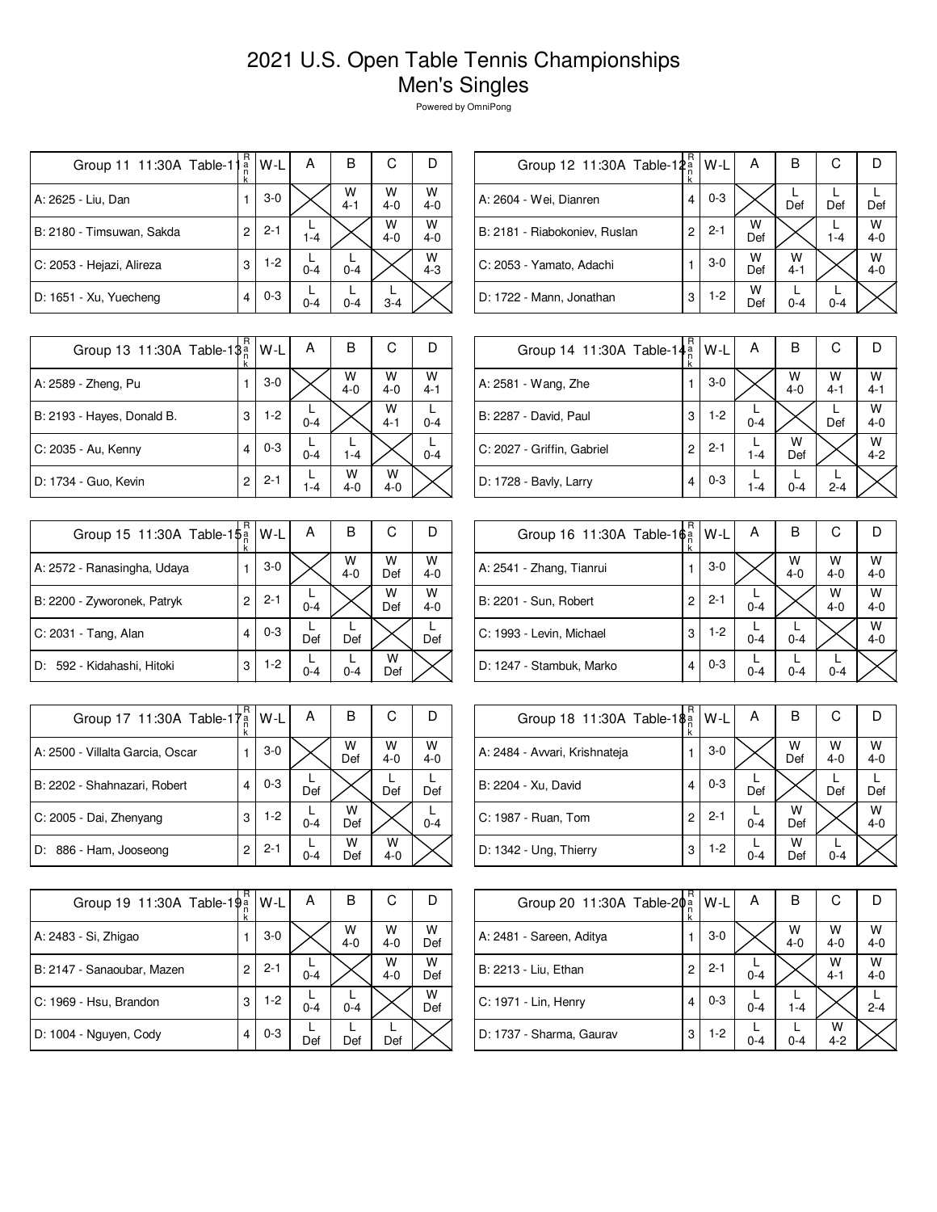| Group 11 11:30A Table-11  | R<br>a<br>n<br>k | W-L     | А       | в            | С            |              |
|---------------------------|------------------|---------|---------|--------------|--------------|--------------|
| A: 2625 - Liu, Dan        |                  | $3-0$   |         | W<br>$4 - 1$ | W<br>$4 - 0$ | W<br>$4 - 0$ |
| B: 2180 - Timsuwan, Sakda | 2                | $2 - 1$ | $1 - 4$ |              | W<br>$4 - 0$ | W<br>$4 - 0$ |
| C: 2053 - Hejazi, Alireza | 3                | $1-2$   | $0 - 4$ | $0 - 4$      |              | w<br>$4 - 3$ |
| D: 1651 - Xu, Yuecheng    |                  | $0 - 3$ | $0 - 4$ | $0 - 4$      | $3 - 4$      |              |

| Group 12 11:30A Table-12 <sup>a</sup> | R | W-L     | Α        | в            | С       |              |
|---------------------------------------|---|---------|----------|--------------|---------|--------------|
| A: 2604 - Wei, Dianren                | 4 | $0 - 3$ |          | Def          | Def     | Def          |
| B: 2181 - Riabokoniev, Ruslan         | 2 | $2 - 1$ | W<br>Def |              | $1 - 4$ | W<br>$4 - 0$ |
| C: 2053 - Yamato, Adachi              |   | $3-0$   | W<br>Def | w<br>$4 - 1$ |         | W<br>$4 - 0$ |
| D: 1722 - Mann, Jonathan              | 3 | $1-2$   | w<br>Def | $0 - 4$      | $0 - 4$ |              |

| Group 13 11:30A Table-18 <sup>a</sup> | R | W-L     | А       | в            | С            |              |
|---------------------------------------|---|---------|---------|--------------|--------------|--------------|
| A: 2589 - Zheng, Pu                   |   | $3-0$   |         | W<br>$4 - 0$ | W<br>$4 - 0$ | W<br>$4 - 1$ |
| B: 2193 - Hayes, Donald B.            | 3 | $1-2$   | $0 - 4$ |              | W<br>$4 - 1$ | $0 - 4$      |
| C: 2035 - Au, Kenny                   | 4 | $0 - 3$ | $0 - 4$ | $1 - 4$      |              | $0 - 4$      |
| D: 1734 - Guo, Kevin                  | 2 | $2 - 1$ | $1 - 4$ | w<br>$4-0$   | w<br>$4 - 0$ |              |

| Group 15 11:30A Table-1\$ <sup>a</sup> | R<br>k | W-L     | Α       | В            | С        |              |
|----------------------------------------|--------|---------|---------|--------------|----------|--------------|
| A: 2572 - Ranasingha, Udaya            |        | $3-0$   |         | W<br>$4 - 0$ | W<br>Def | W<br>$4 - 0$ |
| B: 2200 - Zyworonek, Patryk            | 2      | $2 - 1$ | $0 - 4$ |              | W<br>Def | W<br>$4 - 0$ |
| C: 2031 - Tang, Alan                   | 4      | $0 - 3$ | Def     | Def          |          | Def          |
| D: 592 - Kidahashi, Hitoki             | 3      | $1-2$   | $0 - 4$ | $0 - 4$      | w<br>Def |              |

| Group 17 11:30A Table-17 <sup>a</sup> | R<br>k | W-L     | А       | в        | С            |              |
|---------------------------------------|--------|---------|---------|----------|--------------|--------------|
| A: 2500 - Villalta Garcia, Oscar      |        | $3-0$   |         | W<br>Def | W<br>$4 - 0$ | W<br>$4 - 0$ |
| B: 2202 - Shahnazari, Robert          |        | $0 - 3$ | Def     |          | Def          | Def          |
| C: 2005 - Dai, Zhenyang               | 3      | $1-2$   | $0 - 4$ | w<br>Def |              | $0 - 4$      |
| 886 - Ham, Jooseong<br>D:             | 2      | $2 - 1$ | $0 - 4$ | w<br>Def | w<br>$4 - 0$ |              |

| Group 19 11:30A Table-19 <sup>a</sup> | R | W-L     | А       | в            | С            |          |
|---------------------------------------|---|---------|---------|--------------|--------------|----------|
| A: 2483 - Si, Zhigao                  |   | $3-0$   |         | W<br>$4 - 0$ | W<br>$4 - 0$ | w<br>Def |
| B: 2147 - Sanaoubar, Mazen            | 2 | $2 - 1$ | $0 - 4$ |              | W<br>$4 - 0$ | w<br>Def |
| C: 1969 - Hsu, Brandon                | 3 | $1-2$   | $0 - 4$ | $0 - 4$      |              | W<br>Def |
| D: 1004 - Nguyen, Cody                | 4 | $0 - 3$ | Def     | Def          | Def          |          |

| Group 14 11:30A Table-14 <sup>a</sup> | R<br>k | W-L     | A       | в            | С            |              |
|---------------------------------------|--------|---------|---------|--------------|--------------|--------------|
| A: 2581 - Wang, Zhe                   |        | $3-0$   |         | w<br>$4 - 0$ | W<br>$4 - 1$ | W<br>$4 - 1$ |
| B: 2287 - David, Paul                 | 3      | $1-2$   | $0 - 4$ |              | Def          | W<br>$4 - 0$ |
| C: 2027 - Griffin, Gabriel            | 2      | $2 - 1$ | $1 - 4$ | w<br>Def     |              | W<br>$4 - 2$ |
| D: 1728 - Bavly, Larry                | 4      | $0 - 3$ | $1 - 4$ | $0 - 4$      | $2 - 4$      |              |

| Group 16 11:30A Table-1 $\phi_n^a$ | R | W-L     | Α       | в            | С            |              |
|------------------------------------|---|---------|---------|--------------|--------------|--------------|
| A: 2541 - Zhang, Tianrui           |   | $3-0$   |         | W<br>$4 - 0$ | W<br>$4 - 0$ | W<br>$4 - 0$ |
| B: 2201 - Sun, Robert              | 2 | $2 - 1$ | $0 - 4$ |              | W<br>$4 - 0$ | W<br>$4 - 0$ |
| C: 1993 - Levin, Michael           | 3 | $1-2$   | $0 - 4$ | $0 - 4$      |              | W<br>$4 - 0$ |
| D: 1247 - Stambuk, Marko           | 4 | $0 - 3$ | $0 - 4$ | 0-4          | $0 - 4$      |              |

| Group 18 11:30A Table-18 <sup>a</sup> | R | W-L     | А       | в        | С            |              |
|---------------------------------------|---|---------|---------|----------|--------------|--------------|
| A: 2484 - Avvari, Krishnateja         |   | $3-0$   |         | W<br>Def | W<br>$4 - 0$ | W<br>$4 - 0$ |
| B: 2204 - Xu, David                   | 4 | $0 - 3$ | Def     |          | Def          | Def          |
| C: 1987 - Ruan, Tom                   | 2 | $2 - 1$ | $0 - 4$ | w<br>Def |              | W<br>$4 - 0$ |
| D: 1342 - Ung, Thierry                | 3 | $1-2$   | $0 - 4$ | w<br>Def | $0 - 4$      |              |

| Group 20 11:30A Table-2 $\phi_n^{\alpha}$ | R | W-L     | А       | В            | С            |              |
|-------------------------------------------|---|---------|---------|--------------|--------------|--------------|
| A: 2481 - Sareen, Aditya                  |   | $3-0$   |         | W<br>$4 - 0$ | W<br>$4 - 0$ | W<br>$4 - 0$ |
| B: 2213 - Liu, Ethan                      | 2 | $2 - 1$ | $0 - 4$ |              | W<br>$4 - 1$ | W<br>$4 - 0$ |
| C: 1971 - Lin, Henry                      | 4 | $0 - 3$ | $0 - 4$ | $1 - 4$      |              | $2 - 4$      |
| D: 1737 - Sharma, Gaurav                  | 3 | $1-2$   | $0 - 4$ | $0 - 4$      | w<br>$4 - 2$ |              |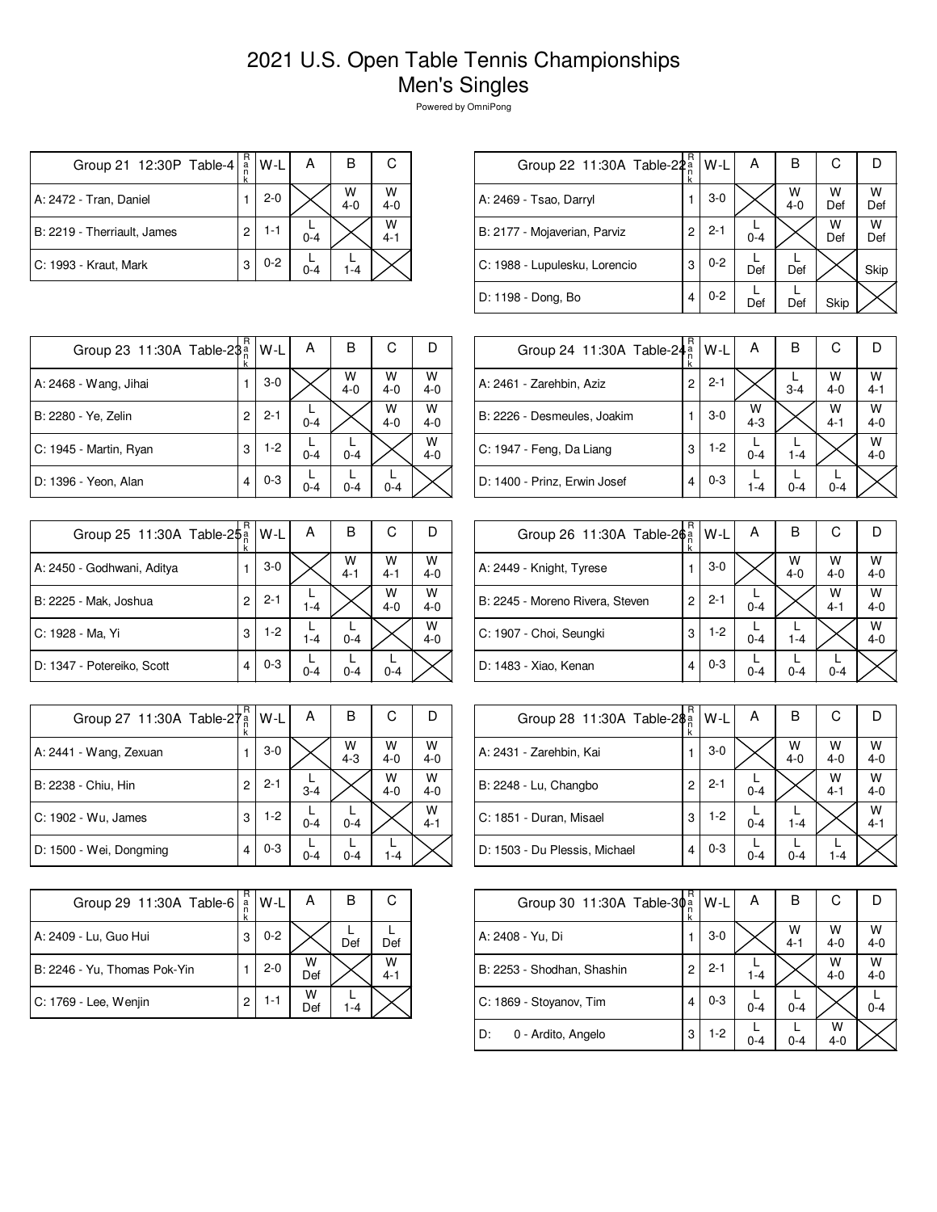| Group 21 12:30P Table-4     | R<br>a         | W-L     | А       | В            | С            |
|-----------------------------|----------------|---------|---------|--------------|--------------|
| A: 2472 - Tran, Daniel      |                | $2 - 0$ |         | W<br>$4 - 0$ | W<br>$4 - 0$ |
| B: 2219 - Therriault, James | $\overline{c}$ | 1-1     | $0 - 4$ |              | W<br>$4 - 1$ |
| C: 1993 - Kraut, Mark       | 3              | $0 - 2$ | $0 - 4$ | $1 - 4$      |              |

| Group 22 11:30A Table-22a     | R | W-L     | А       | в            | С        | D        |
|-------------------------------|---|---------|---------|--------------|----------|----------|
| A: 2469 - Tsao, Darryl        |   | $3-0$   |         | W<br>$4 - 0$ | W<br>Def | W<br>Def |
| B: 2177 - Mojaverian, Parviz  | 2 | $2 - 1$ | $0 - 4$ |              | W<br>Def | w<br>Def |
| C: 1988 - Lupulesku, Lorencio | 3 | $0 - 2$ | Def     | Def          |          | Skip     |
| D: 1198 - Dong, Bo            | 4 | $0 - 2$ | Def     | Def          | Skip     |          |
|                               |   |         |         |              |          |          |

| Group 23 11:30A Table-2\$ <sup>a</sup> | R | l W-L   | А       | В            | С            |              |
|----------------------------------------|---|---------|---------|--------------|--------------|--------------|
| A: 2468 - Wang, Jihai                  |   | $3-0$   |         | W<br>$4 - 0$ | W<br>$4 - 0$ | $W$<br>4-0   |
| B: 2280 - Ye, Zelin                    | 2 | $2 - 1$ | $0 - 4$ |              | W<br>$4 - 0$ | W<br>$4 - 0$ |
| C: 1945 - Martin, Ryan                 | 3 | $1-2$   | $0 - 4$ | $0 - 4$      |              | W<br>$4 - 0$ |
| D: 1396 - Yeon, Alan                   |   | $0 - 3$ | $0 - 4$ | $0 - 4$      | $0 - 4$      |              |

|                                        | R |         |         |              |              |              |
|----------------------------------------|---|---------|---------|--------------|--------------|--------------|
| Group 25 11:30A Table-2\$ <sup>a</sup> | k | W-L     | А       | в            | С            |              |
| A: 2450 - Godhwani, Aditya             |   | $3-0$   |         | W<br>$4 - 1$ | W<br>$4 - 1$ | W<br>$4 - 0$ |
| B: 2225 - Mak, Joshua                  | 2 | $2 - 1$ | $1 - 4$ |              | W<br>$4 - 0$ | W<br>$4 - 0$ |
| C: 1928 - Ma, Yi                       | 3 | $1-2$   | $1 - 4$ | $0 - 4$      |              | W<br>$4 - 0$ |
| D: 1347 - Potereiko, Scott             | 4 | $0 - 3$ | $0 - 4$ | $0 - 4$      | $0 - 4$      |              |

| Group 27 11:30A Table-27 <sup>a</sup> | R | W-L     | A       | в            | С            |              |
|---------------------------------------|---|---------|---------|--------------|--------------|--------------|
| A: 2441 - Wang, Zexuan                |   | $3-0$   |         | W<br>$4 - 3$ | w<br>$4 - 0$ | W<br>$4 - 0$ |
| B: 2238 - Chiu, Hin                   |   | $2 - 1$ | $3 - 4$ |              | W<br>$4 - 0$ | W<br>$4 - 0$ |
| C: 1902 - Wu, James                   | 3 | 1-2     | $0 - 4$ | $0 - 4$      |              | W<br>$4 - 1$ |
| D: 1500 - Wei, Dongming               |   | $0 - 3$ | $0 - 4$ | $0 - 4$      | $1 - 4$      |              |

| Group 29 11:30A Table-6      | R<br>ă | W-L     | А        | в       | С            |
|------------------------------|--------|---------|----------|---------|--------------|
| A: 2409 - Lu, Guo Hui        | 3      | $0 - 2$ |          | Def     | Def          |
| B: 2246 - Yu, Thomas Pok-Yin |        | $2 - 0$ | W<br>Def |         | w<br>$4 - 1$ |
| C: 1769 - Lee, Wenjin        | 2      | $1 - 1$ | w<br>Def | $1 - 4$ |              |

| Group 24 11:30A Table-24 <sup>a</sup> | R | W-L     | А            | в       | C            |              |
|---------------------------------------|---|---------|--------------|---------|--------------|--------------|
| A: 2461 - Zarehbin, Aziz              | 2 | $2 - 1$ |              | $3 - 4$ | W<br>$4 - 0$ | W<br>$4 - 1$ |
| B: 2226 - Desmeules, Joakim           |   | $3-0$   | W<br>$4 - 3$ |         | W<br>$4 - 1$ | w<br>$4 - 0$ |
| C: 1947 - Feng, Da Liang              | 3 | $1-2$   | $0 - 4$      | $1 - 4$ |              | W<br>$4 - 0$ |
| D: 1400 - Prinz, Erwin Josef          | 4 | $0 - 3$ | $1 - 4$      | $0 - 4$ | $0 - 4$      |              |

| Group 26 11:30A Table-2 $\frac{5}{9}$ | R | W-L     | A       | в            | С            |              |
|---------------------------------------|---|---------|---------|--------------|--------------|--------------|
| A: 2449 - Knight, Tyrese              |   | $3-0$   |         | W<br>$4 - 0$ | W<br>$4 - 0$ | W<br>$4 - 0$ |
| B: 2245 - Moreno Rivera, Steven       | 2 | $2 - 1$ | $0 - 4$ |              | W<br>$4 - 1$ | w<br>$4 - 0$ |
| C: 1907 - Choi, Seungki               | 3 | $1-2$   | $0 - 4$ | $1 - 4$      |              | W<br>$4 - 0$ |
| D: 1483 - Xiao, Kenan                 | 4 | $0 - 3$ | 0-4     | $0 - 4$      | $0 - 4$      |              |

| Group 28 11:30A Table-2\$ <sup>2</sup> | R | $W-L$   | А       | В            | С            |              |
|----------------------------------------|---|---------|---------|--------------|--------------|--------------|
| A: 2431 - Zarehbin, Kai                |   | $3-0$   |         | W<br>$4 - 0$ | W<br>$4 - 0$ | w<br>$4 - 0$ |
| B: 2248 - Lu, Changbo                  | 2 | $2 - 1$ | $0 - 4$ |              | W<br>$4 - 1$ | W<br>$4 - 0$ |
| C: 1851 - Duran, Misael                | 3 | $1-2$   | $0 - 4$ | $1 - 4$      |              | w<br>$4 - 1$ |
| D: 1503 - Du Plessis, Michael          | 4 | $0 - 3$ | $0 - 4$ | $0 - 4$      | $1 - 4$      |              |

| Group 30 11:30A Table-30 <sup>a</sup> | R | W-L     | А       | B            | С            | Ð            |
|---------------------------------------|---|---------|---------|--------------|--------------|--------------|
| A: 2408 - Yu, Di                      |   | $3-0$   |         | W<br>$4 - 1$ | W<br>$4 - 0$ | W<br>$4 - 0$ |
| B: 2253 - Shodhan, Shashin            | 2 | $2 - 1$ | $1 - 4$ |              | W<br>$4 - 0$ | w<br>$4 - 0$ |
| C: 1869 - Stoyanov, Tim               | 4 | $0 - 3$ | $0 - 4$ | $0 - 4$      |              | $0 - 4$      |
| D:<br>0 - Ardito, Angelo              | 3 | $1-2$   | $0 - 4$ | $0 - 4$      | W<br>$4 - 0$ |              |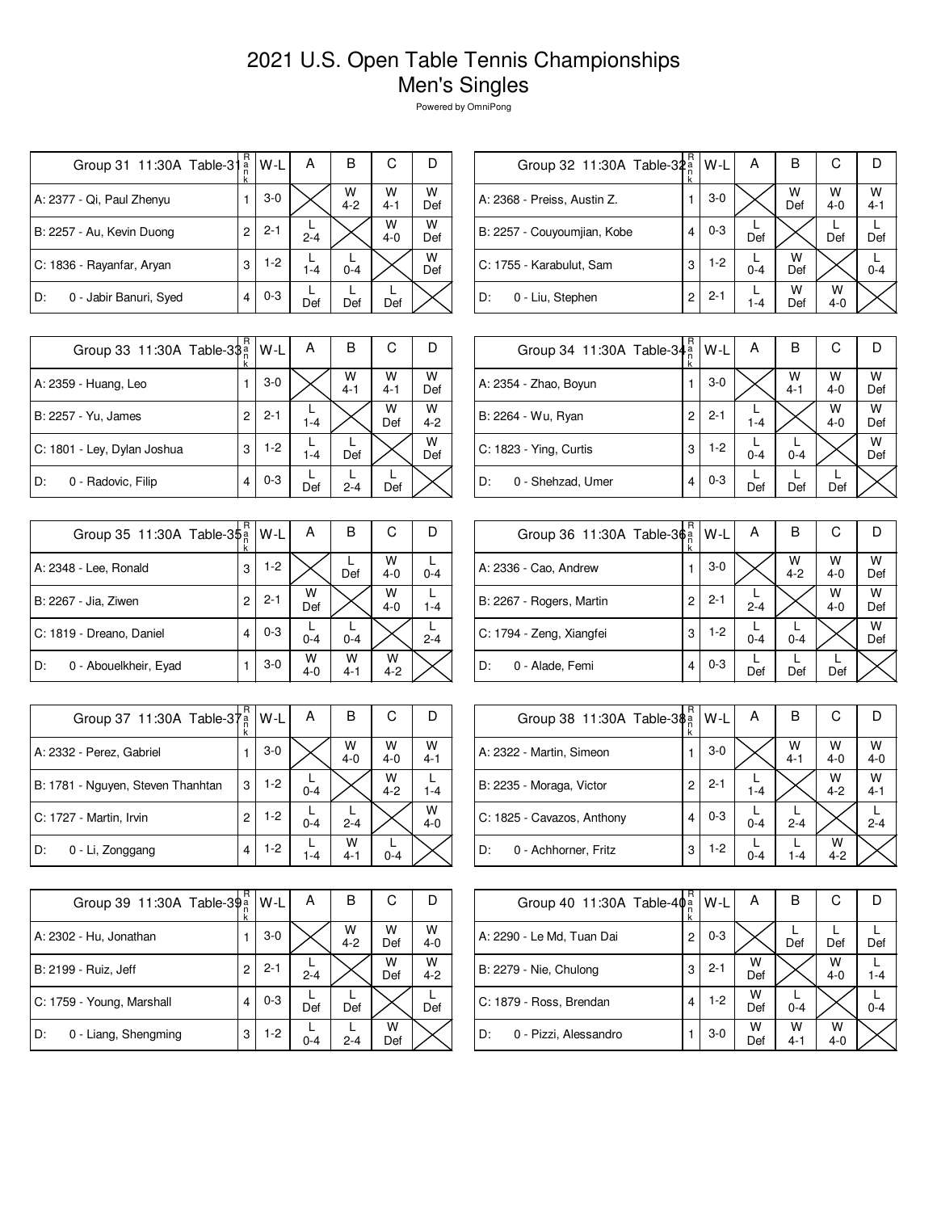| Group 31 11:30A Table-31     | R<br>a<br>n | W-L     | Α       | в            | С            |          |
|------------------------------|-------------|---------|---------|--------------|--------------|----------|
| A: 2377 - Qi, Paul Zhenyu    |             | $3-0$   |         | W<br>$4 - 2$ | W<br>$4 - 1$ | W<br>Def |
| B: 2257 - Au, Kevin Duong    | 2           | $2 - 1$ | $2 - 4$ |              | W<br>$4 - 0$ | W<br>Def |
| C: 1836 - Rayanfar, Aryan    | 3           | $1 - 2$ | $1 - 4$ | $0 - 4$      |              | W<br>Def |
| 0 - Jabir Banuri, Syed<br>D: |             | $0 - 3$ | Def     | Def          | Def          |          |

| R | W-L                       | Α       | в        | С            |              |
|---|---------------------------|---------|----------|--------------|--------------|
|   | $3-0$                     |         | W<br>Def | w<br>$4 - 0$ | W<br>$4 - 1$ |
| 4 | $0 - 3$                   | Def     |          | Def          | Def          |
| 3 | $1-2$                     | $0 - 4$ | w<br>Def |              | $0 - 4$      |
| 2 | $2 - 1$                   | 1-4     | w<br>Def | w<br>$4 - 0$ |              |
|   | Group 32 11:30A Table-32a |         |          |              |              |

| Group 33 11:30A Table-3\$   | R<br>ĸ | $W-L$   | A       | В            | С            |              |
|-----------------------------|--------|---------|---------|--------------|--------------|--------------|
| A: 2359 - Huang, Leo        |        | $3-0$   |         | W<br>$4 - 1$ | W<br>$4 - 1$ | W<br>Def     |
| B: 2257 - Yu, James         | 2      | $2 - 1$ | $1 - 4$ |              | W<br>Def     | W<br>$4 - 2$ |
| C: 1801 - Ley, Dylan Joshua | 3      | $1-2$   | $1 - 4$ | Def          |              | W<br>Def     |
| D:<br>0 - Radovic, Filip    | 4      | $0 - 3$ | Def     | $2 - 4$      | Def          |              |

| Group 35 11:30A Table-3\$ <sup>a</sup> | R | W-L     | Α            | в            | С            |         |
|----------------------------------------|---|---------|--------------|--------------|--------------|---------|
| A: 2348 - Lee, Ronald                  | 3 | $1-2$   |              | Def          | w<br>$4 - 0$ | $0 - 4$ |
| B: 2267 - Jia, Ziwen                   | 2 | $2 - 1$ | W<br>Def     |              | W<br>$4 - 0$ | $1 - 4$ |
| C: 1819 - Dreano, Daniel               | 4 | $0 - 3$ | $0 - 4$      | $0 - 4$      |              | $2 - 4$ |
| 0 - Abouelkheir, Eyad<br>D:            |   | $3-0$   | w<br>$4 - 0$ | w<br>$4 - 1$ | w<br>$4 - 2$ |         |

| Group 37 11:30A Table-37          | 'a<br>n<br>k | W-L   | А       | в            | С            |              |
|-----------------------------------|--------------|-------|---------|--------------|--------------|--------------|
| A: 2332 - Perez, Gabriel          |              | $3-0$ |         | W<br>$4 - 0$ | W<br>$4 - 0$ | W<br>$4 - 1$ |
| B: 1781 - Nguyen, Steven Thanhtan | 3            | $1-2$ | $0 - 4$ |              | W<br>$4 - 2$ | $1 - 4$      |
| C: 1727 - Martin, Irvin           | 2            | $1-2$ | $0 - 4$ | $2 - 4$      |              | W<br>$4 - 0$ |
| D:<br>0 - Li, Zonggang            | 4            | $1-2$ | $1 - 4$ | w<br>$4 - 1$ | $0 - 4$      |              |

| Group 39 11:30A Table-39 <sup>a</sup> | R | W-L     | А       | в            | С        | D            |
|---------------------------------------|---|---------|---------|--------------|----------|--------------|
| A: 2302 - Hu, Jonathan                |   | $3-0$   |         | W<br>$4 - 2$ | W<br>Def | W<br>$4 - 0$ |
| B: 2199 - Ruiz, Jeff                  | 2 | $2 - 1$ | $2 - 4$ |              | w<br>Def | W<br>$4 - 2$ |
| C: 1759 - Young, Marshall             |   | $0 - 3$ | Def     | Def          |          | Def          |
| 0 - Liang, Shengming<br>D:            | 3 | $1-2$   | $0 - 4$ | $2 - 4$      | w<br>Def |              |

| Group 34 11:30A Table-34 <sup>a</sup> | R | $W-L$   | Α       | B            | С            |          |
|---------------------------------------|---|---------|---------|--------------|--------------|----------|
| A: 2354 - Zhao, Boyun                 | 1 | $3-0$   |         | W<br>$4 - 1$ | W<br>$4 - 0$ | W<br>Def |
| B: 2264 - Wu, Ryan                    | 2 | $2 - 1$ | $1 - 4$ |              | W<br>$4 - 0$ | w<br>Def |
| C: 1823 - Ying, Curtis                | 3 | $1-2$   | $0 - 4$ | $0 - 4$      |              | W<br>Def |
| D:<br>0 - Shehzad, Umer               | 4 | $0 - 3$ | Def     | Def          | Def          |          |

| Group 36 11:30A Table-36 <sup>a</sup> | R<br>ĸ | W-L     | А       | в            | С            |          |
|---------------------------------------|--------|---------|---------|--------------|--------------|----------|
| A: 2336 - Cao, Andrew                 |        | $3-0$   |         | W<br>$4 - 2$ | W<br>$4 - 0$ | W<br>Def |
| B: 2267 - Rogers, Martin              | 2      | $2 - 1$ | $2 - 4$ |              | W<br>$4 - 0$ | w<br>Def |
| C: 1794 - Zeng, Xiangfei              | 3      | $1-2$   | $0 - 4$ | $0 - 4$      |              | W<br>Def |
| 0 - Alade, Femi<br>D:                 | 4      | $0 - 3$ | Def     | Def          | Def          |          |

|                            | R |         |         |              |              |              |
|----------------------------|---|---------|---------|--------------|--------------|--------------|
| Group 38 11:30A Table-3\$  |   | $W-L$   | Α       | в            | С            |              |
| A: 2322 - Martin, Simeon   |   | $3-0$   |         | w<br>$4 - 1$ | W<br>$4 - 0$ | W<br>$4 - 0$ |
| B: 2235 - Moraga, Victor   | 2 | $2 - 1$ | $1 - 4$ |              | W<br>$4 - 2$ | W<br>$4 - 1$ |
| C: 1825 - Cavazos, Anthony | 4 | $0 - 3$ | $0 - 4$ | $2 - 4$      |              | $2 - 4$      |
| D:<br>0 - Achhorner, Fritz | 3 | $1-2$   | $0 - 4$ | 1-4          | W<br>$4 - 2$ |              |

| Group 40 11:30A Table-40 <sup>a</sup> | R | $W-L$   | А        | в            | С            |         |
|---------------------------------------|---|---------|----------|--------------|--------------|---------|
| A: 2290 - Le Md, Tuan Dai             | 2 | $0 - 3$ |          | Def          | Def          | Def     |
| B: 2279 - Nie, Chulong                | 3 | $2 - 1$ | W<br>Def |              | w<br>$4 - 0$ | 1-4     |
| C: 1879 - Ross, Brendan               | 4 | $1-2$   | w<br>Def | $0 - 4$      |              | $0 - 4$ |
| D:<br>0 - Pizzi, Alessandro           |   | $3-0$   | W<br>Def | W<br>$4 - 1$ | W<br>$4 - 0$ |         |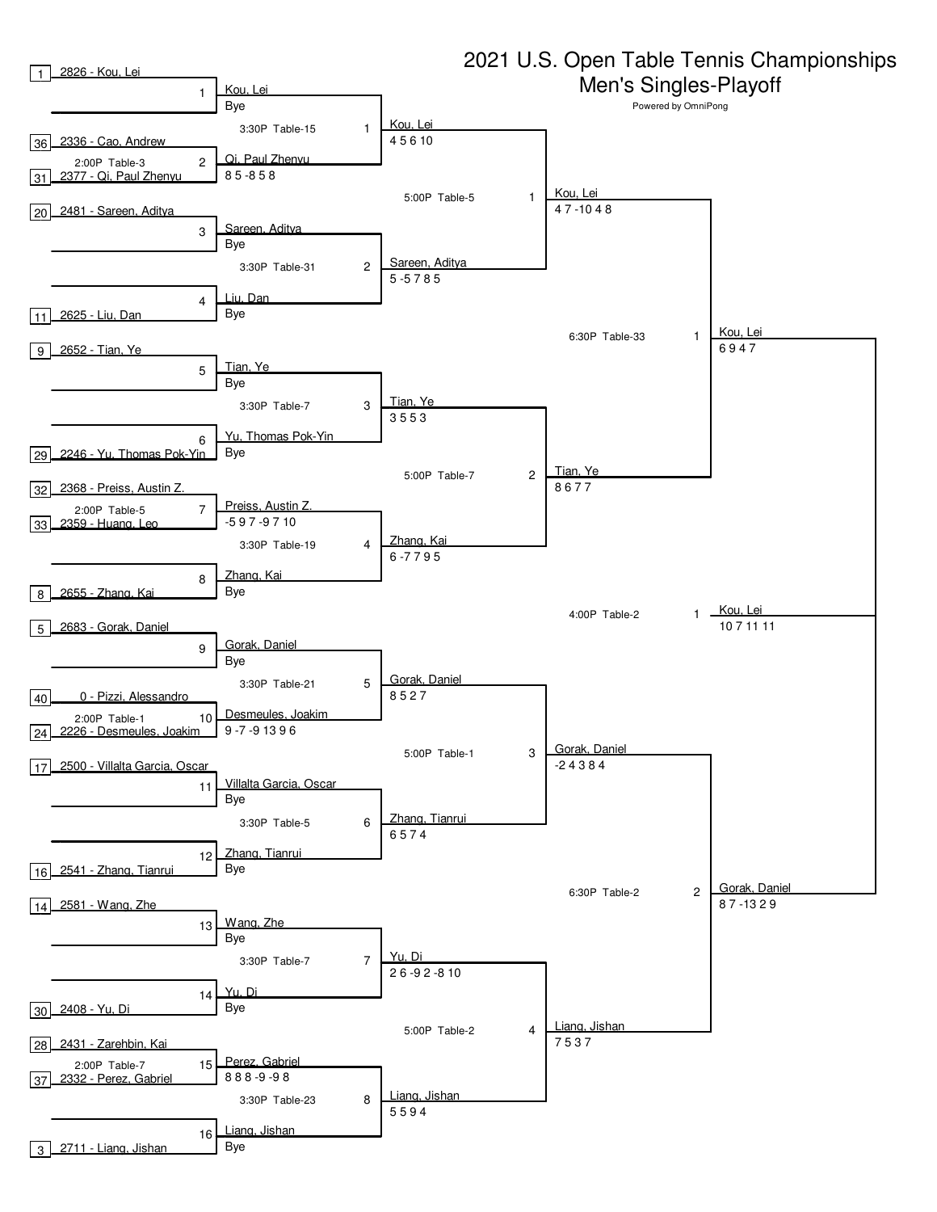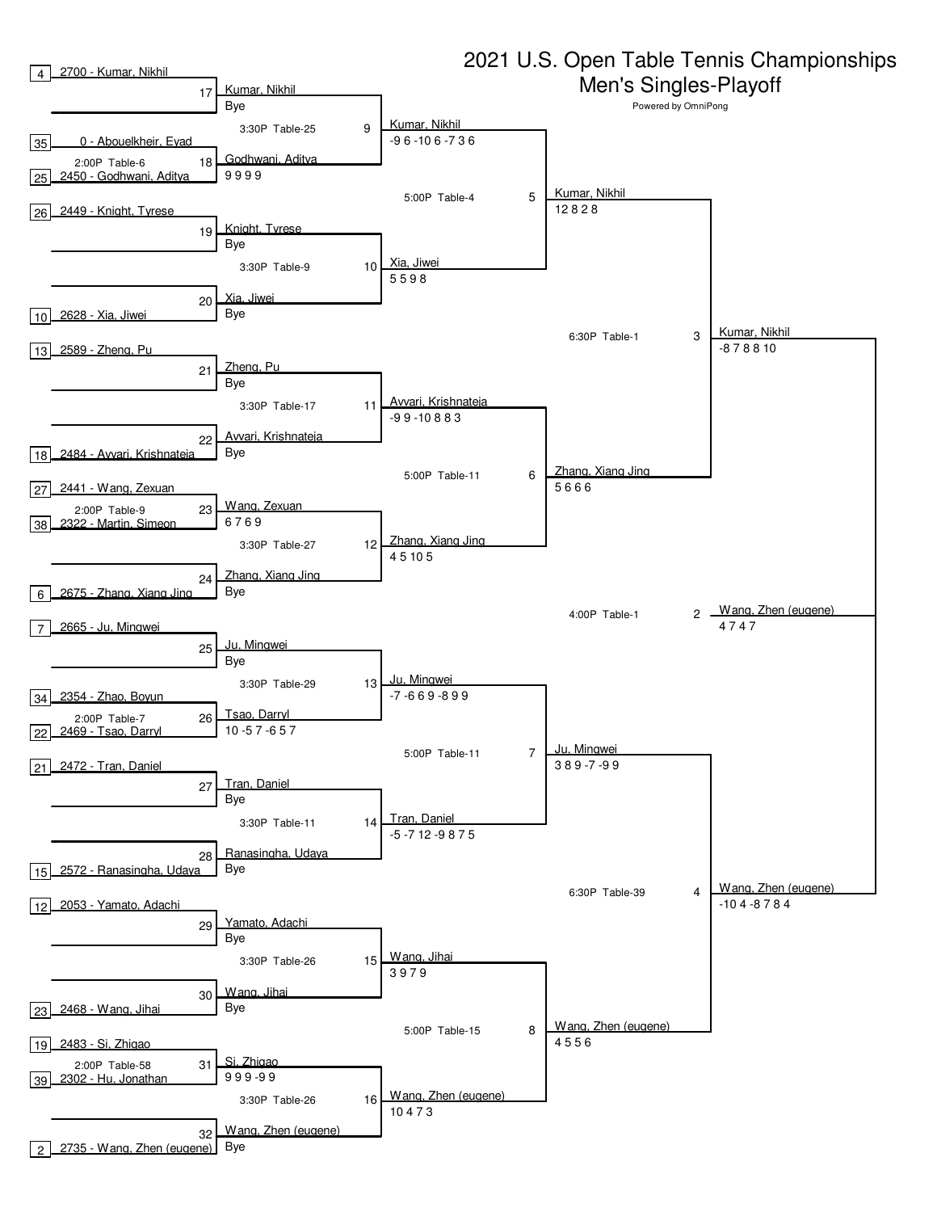